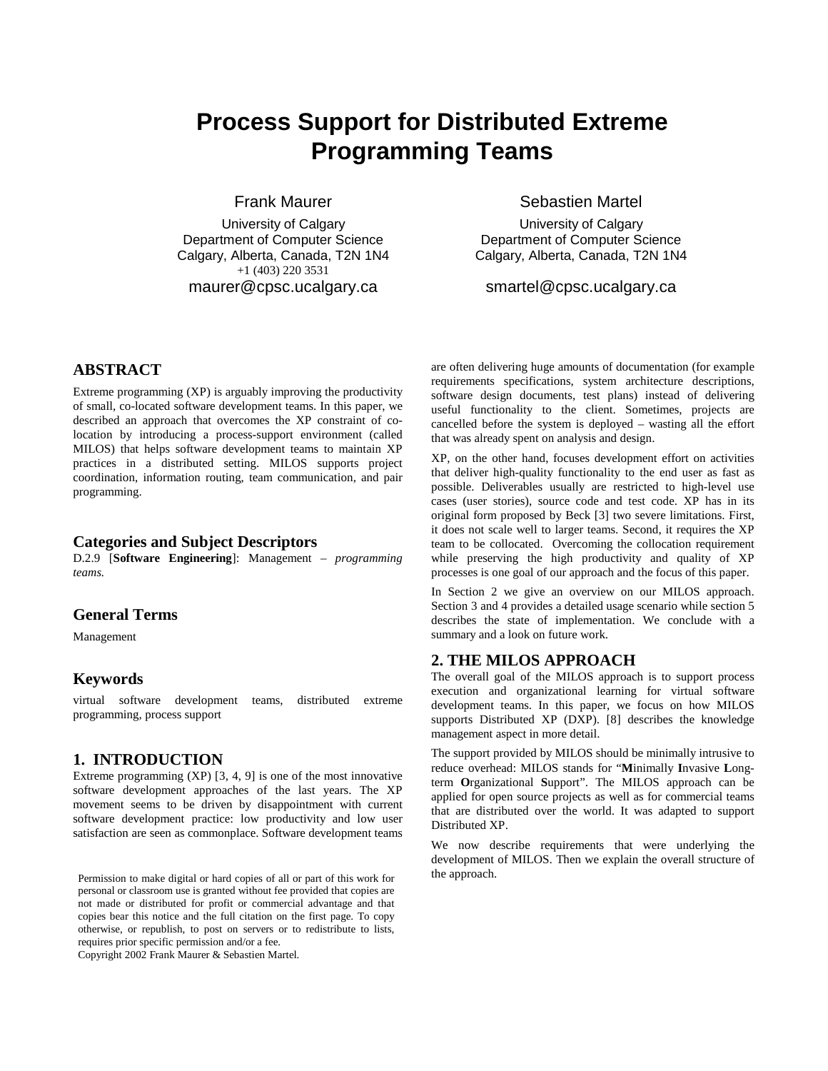# **Process Support for Distributed Extreme Programming Teams**

Frank Maurer

University of Calgary Department of Computer Science Calgary, Alberta, Canada, T2N 1N4 +1 (403) 220 3531 maurer@cpsc.ucalgary.ca

Sebastien Martel

University of Calgary Department of Computer Science Calgary, Alberta, Canada, T2N 1N4

smartel@cpsc.ucalgary.ca

# **ABSTRACT**

Extreme programming (XP) is arguably improving the productivity of small, co-located software development teams. In this paper, we described an approach that overcomes the XP constraint of colocation by introducing a process-support environment (called MILOS) that helps software development teams to maintain XP practices in a distributed setting. MILOS supports project coordination, information routing, team communication, and pair programming.

#### **Categories and Subject Descriptors**

D.2.9 [**Software Engineering**]: Management – *programming teams.* 

#### **General Terms**

Management

### **Keywords**

virtual software development teams, distributed extreme programming, process support

## **1. INTRODUCTION**

Extreme programming (XP) [3, 4, 9] is one of the most innovative software development approaches of the last years. The XP movement seems to be driven by disappointment with current software development practice: low productivity and low user satisfaction are seen as commonplace. Software development teams

Permission to make digital or hard copies of all or part of this work for the approach. personal or classroom use is granted without fee provided that copies are not made or distributed for profit or commercial advantage and that copies bear this notice and the full citation on the first page. To copy otherwise, or republish, to post on servers or to redistribute to lists, requires prior specific permission and/or a fee.

Copyright 2002 Frank Maurer & Sebastien Martel.

are often delivering huge amounts of documentation (for example requirements specifications, system architecture descriptions, software design documents, test plans) instead of delivering useful functionality to the client. Sometimes, projects are cancelled before the system is deployed – wasting all the effort that was already spent on analysis and design.

XP, on the other hand, focuses development effort on activities that deliver high-quality functionality to the end user as fast as possible. Deliverables usually are restricted to high-level use cases (user stories), source code and test code. XP has in its original form proposed by Beck [3] two severe limitations. First, it does not scale well to larger teams. Second, it requires the XP team to be collocated. Overcoming the collocation requirement while preserving the high productivity and quality of XP processes is one goal of our approach and the focus of this paper.

In Section 2 we give an overview on our MILOS approach. Section 3 and 4 provides a detailed usage scenario while section 5 describes the state of implementation. We conclude with a summary and a look on future work.

#### **2. THE MILOS APPROACH**

The overall goal of the MILOS approach is to support process execution and organizational learning for virtual software development teams. In this paper, we focus on how MILOS supports Distributed XP (DXP). [8] describes the knowledge management aspect in more detail.

The support provided by MILOS should be minimally intrusive to reduce overhead: MILOS stands for "**M**inimally **I**nvasive **L**ongterm **O**rganizational **S**upport". The MILOS approach can be applied for open source projects as well as for commercial teams that are distributed over the world. It was adapted to support Distributed XP.

We now describe requirements that were underlying the development of MILOS. Then we explain the overall structure of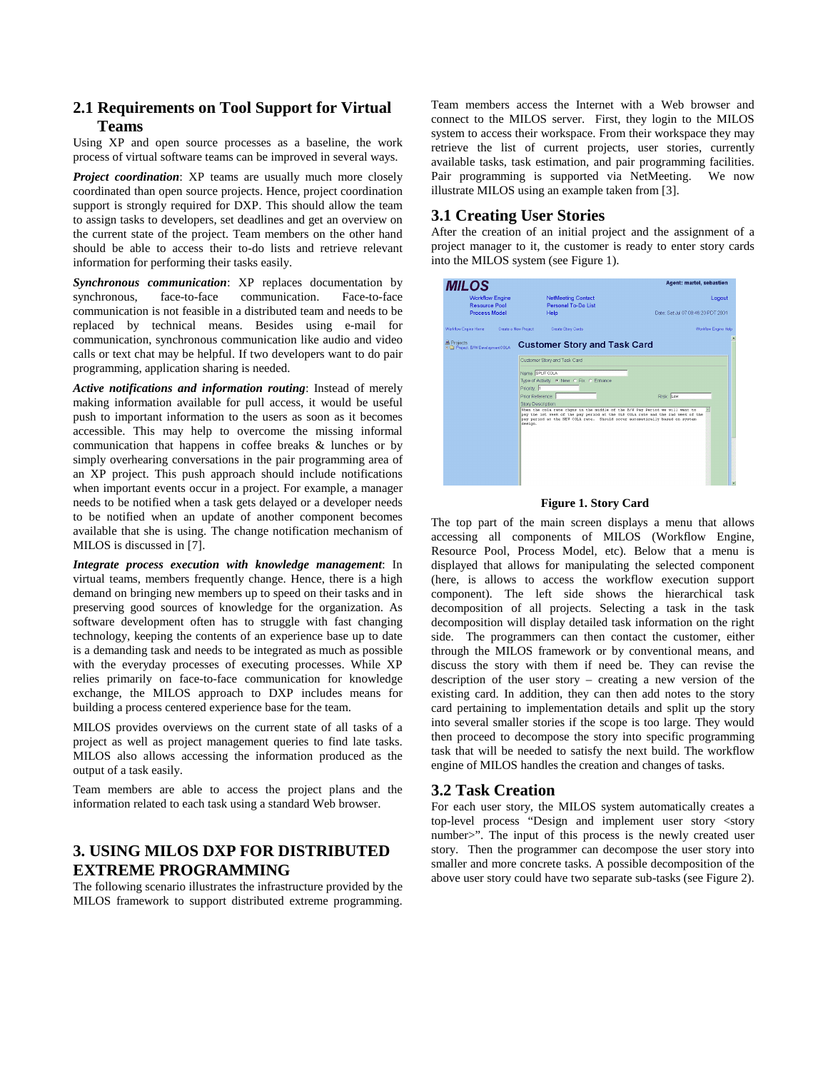# **2.1 Requirements on Tool Support for Virtual Teams**

Using XP and open source processes as a baseline, the work process of virtual software teams can be improved in several ways.

*Project coordination*: XP teams are usually much more closely coordinated than open source projects. Hence, project coordination support is strongly required for DXP. This should allow the team to assign tasks to developers, set deadlines and get an overview on the current state of the project. Team members on the other hand should be able to access their to-do lists and retrieve relevant information for performing their tasks easily.

*Synchronous communication*: XP replaces documentation by synchronous, face-to-face communication. Face-to-face communication is not feasible in a distributed team and needs to be replaced by technical means. Besides using e-mail for communication, synchronous communication like audio and video calls or text chat may be helpful. If two developers want to do pair programming, application sharing is needed.

*Active notifications and information routing*: Instead of merely making information available for pull access, it would be useful push to important information to the users as soon as it becomes accessible. This may help to overcome the missing informal communication that happens in coffee breaks & lunches or by simply overhearing conversations in the pair programming area of an XP project. This push approach should include notifications when important events occur in a project. For example, a manager needs to be notified when a task gets delayed or a developer needs to be notified when an update of another component becomes available that she is using. The change notification mechanism of MILOS is discussed in [7].

*Integrate process execution with knowledge management*: In virtual teams, members frequently change. Hence, there is a high demand on bringing new members up to speed on their tasks and in preserving good sources of knowledge for the organization. As software development often has to struggle with fast changing technology, keeping the contents of an experience base up to date is a demanding task and needs to be integrated as much as possible with the everyday processes of executing processes. While XP relies primarily on face-to-face communication for knowledge exchange, the MILOS approach to DXP includes means for building a process centered experience base for the team.

MILOS provides overviews on the current state of all tasks of a project as well as project management queries to find late tasks. MILOS also allows accessing the information produced as the output of a task easily.

Team members are able to access the project plans and the information related to each task using a standard Web browser.

# **3. USING MILOS DXP FOR DISTRIBUTED EXTREME PROGRAMMING**

The following scenario illustrates the infrastructure provided by the MILOS framework to support distributed extreme programming.

Team members access the Internet with a Web browser and connect to the MILOS server. First, they login to the MILOS system to access their workspace. From their workspace they may retrieve the list of current projects, user stories, currently available tasks, task estimation, and pair programming facilities. Pair programming is supported via NetMeeting. We now illustrate MILOS using an example taken from [3].

# **3.1 Creating User Stories**

After the creation of an initial project and the assignment of a project manager to it, the customer is ready to enter story cards into the MILOS system (see Figure 1).

| <b>MILOS</b>                                                           |                                                                                                                                                                                                                                                                                                                                                                                                                   | Agent: martel, sebastien                     |
|------------------------------------------------------------------------|-------------------------------------------------------------------------------------------------------------------------------------------------------------------------------------------------------------------------------------------------------------------------------------------------------------------------------------------------------------------------------------------------------------------|----------------------------------------------|
| <b>Workflow Engine</b><br><b>Resource Pool</b><br><b>Process Model</b> | <b>NetMeeting Contact</b><br>Personal To-Do List<br>Help                                                                                                                                                                                                                                                                                                                                                          | Logout<br>Date: Sat Jul 07 08:46:20 PDT 2001 |
| Workflow Engine Home                                                   | <b>Create Story Cards</b><br><b>Create a New Project</b>                                                                                                                                                                                                                                                                                                                                                          | Workfow Engine Help                          |
| <b>图 Projects</b><br>DEI Project: BAV DevelopmentCOLA                  | <b>Customer Story and Task Card</b>                                                                                                                                                                                                                                                                                                                                                                               |                                              |
|                                                                        | Customer Story and Task Card<br>Name SPLIT COLA<br>Type of Activity. C New C Fix. C Enhance<br>Priority: 1<br>Prior Reference:<br>Story Description:<br>When the cola rate choms in the middle of the B/W Pay Period we will want to<br>pay the ist week of the pay period at the OLD COLA rate and the 2nd week of the<br>pay period at the NEW COLA rate. Should occur automatically based on system<br>design. | Risk Low                                     |

#### **Figure 1. Story Card**

The top part of the main screen displays a menu that allows accessing all components of MILOS (Workflow Engine, Resource Pool, Process Model, etc). Below that a menu is displayed that allows for manipulating the selected component (here, is allows to access the workflow execution support component). The left side shows the hierarchical task decomposition of all projects. Selecting a task in the task decomposition will display detailed task information on the right side. The programmers can then contact the customer, either through the MILOS framework or by conventional means, and discuss the story with them if need be. They can revise the description of the user story – creating a new version of the existing card. In addition, they can then add notes to the story card pertaining to implementation details and split up the story into several smaller stories if the scope is too large. They would then proceed to decompose the story into specific programming task that will be needed to satisfy the next build. The workflow engine of MILOS handles the creation and changes of tasks.

### **3.2 Task Creation**

For each user story, the MILOS system automatically creates a top-level process "Design and implement user story <story number>". The input of this process is the newly created user story. Then the programmer can decompose the user story into smaller and more concrete tasks. A possible decomposition of the above user story could have two separate sub-tasks (see Figure 2).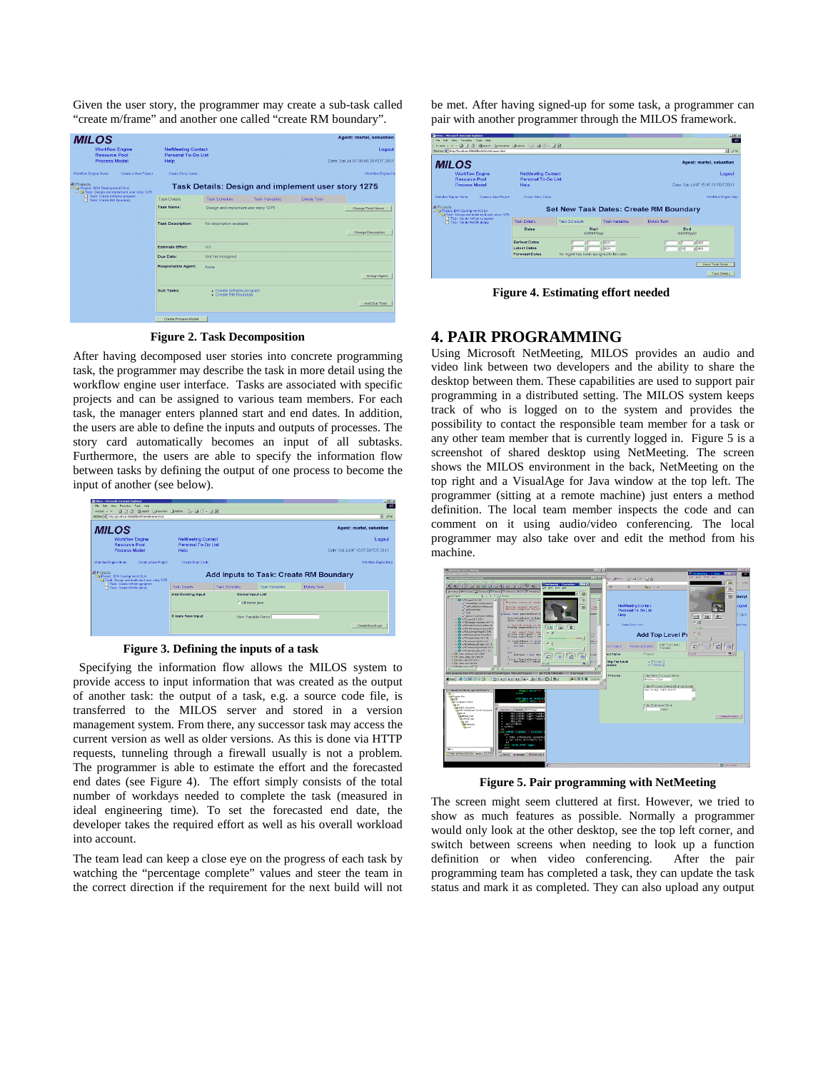Given the user story, the programmer may create a sub-task called "create m/frame" and another one called "create RM boundary".

| <b>MILOS</b>                                                                                            |                                                  |                                                  |                       |                                                    | <b>Agent: martel, sebastien</b>    |
|---------------------------------------------------------------------------------------------------------|--------------------------------------------------|--------------------------------------------------|-----------------------|----------------------------------------------------|------------------------------------|
| <b>Workflow Engine</b><br><b>Resource Pool</b>                                                          | <b>NetMeeting Contact</b><br>Personal To-Do List |                                                  |                       |                                                    | Logout                             |
| <b>Process Model</b>                                                                                    | Help                                             |                                                  |                       |                                                    | Date: Sat Jul 07 08:46:20 PDT 2001 |
| Create a New Project<br>Workfow Engine Home                                                             | Create Story Cards                               |                                                  |                       |                                                    | Workfow Engine H                   |
| <b>M</b> Projects<br>E C Project: BW/ DevelcomentCOLA<br>C S Task: Design and implement user story 1275 |                                                  |                                                  |                       | Task Details: Design and implement user story 1275 |                                    |
| Task: Create miframe program<br>Task: Create RM Boundary                                                | <b>Task Details</b>                              | Task Schedule                                    | <b>Task Variables</b> | Delete Task                                        |                                    |
|                                                                                                         | <b>Task Name:</b>                                | Design and implement user story 1275             |                       |                                                    | Change Task Name                   |
|                                                                                                         | <b>Task Description:</b>                         | No description available.                        |                       |                                                    |                                    |
|                                                                                                         |                                                  |                                                  |                       |                                                    | Chenge Description                 |
|                                                                                                         | <b>Fistimate Effort:</b>                         | 0.0                                              |                       |                                                    |                                    |
|                                                                                                         | Due Date:                                        | Not Yet Assigned                                 |                       |                                                    |                                    |
|                                                                                                         | <b>Responsible Agent:</b>                        | None                                             |                       |                                                    |                                    |
|                                                                                                         |                                                  |                                                  |                       |                                                    | Assign Agent                       |
|                                                                                                         | Sub Tasks:                                       | - Create miframe program<br>- Create RM Boundary |                       |                                                    |                                    |
|                                                                                                         |                                                  |                                                  |                       |                                                    | Add Sub Task                       |
|                                                                                                         | Create Process Model                             |                                                  |                       |                                                    |                                    |

**Figure 2. Task Decomposition** 

After having decomposed user stories into concrete programming task, the programmer may describe the task in more detail using the workflow engine user interface. Tasks are associated with specific projects and can be assigned to various team members. For each task, the manager enters planned start and end dates. In addition, the users are able to define the inputs and outputs of processes. The story card automatically becomes an input of all subtasks. Furthermore, the users are able to specify the information flow between tasks by defining the output of one process to become the input of another (see below).



**Figure 3. Defining the inputs of a task** 

 Specifying the information flow allows the MILOS system to provide access to input information that was created as the output of another task: the output of a task, e.g. a source code file, is transferred to the MILOS server and stored in a version management system. From there, any successor task may access the current version as well as older versions. As this is done via HTTP requests, tunneling through a firewall usually is not a problem. The programmer is able to estimate the effort and the forecasted end dates (see Figure 4). The effort simply consists of the total number of workdays needed to complete the task (measured in ideal engineering time). To set the forecasted end date, the developer takes the required effort as well as his overall workload into account.

The team lead can keep a close eye on the progress of each task by watching the "percentage complete" values and steer the team in the correct direction if the requirement for the next build will not be met. After having signed-up for some task, a programmer can pair with another programmer through the MILOS framework.

| <b>Gallen - Microsoft Internet Explorer</b>                                                       |                                                                       |                                                           |                       |                                           | $-101 \times$                          |  |
|---------------------------------------------------------------------------------------------------|-----------------------------------------------------------------------|-----------------------------------------------------------|-----------------------|-------------------------------------------|----------------------------------------|--|
| File Edit View Forceftes Tools Help<br>488 - ~ - ◎ 급 줄 @Sean Girlendes @Hoter   급- @ EI - 글 요     |                                                                       |                                                           |                       |                                           | - 491                                  |  |
| Address @ Thttp://focalhost.9000/NiocWelv/lehanes.html                                            |                                                                       |                                                           |                       |                                           | $\partial^2 G_0$<br>⋥                  |  |
| <b>MILOS</b>                                                                                      |                                                                       |                                                           |                       |                                           | Agent: martel, sebastien               |  |
| <b>Workflow Engine</b>                                                                            | <b>NetMeeting Contact</b>                                             |                                                           |                       | Logout                                    |                                        |  |
| <b>Resource Pool</b>                                                                              | <b>Personal To-Do List</b>                                            |                                                           |                       |                                           |                                        |  |
| <b>Process Model</b>                                                                              | Date: Set Jul 07 15:07:53 PDT 2001<br>Help                            |                                                           |                       |                                           |                                        |  |
| Create a New Preject<br><b>Warkflow Engine Home</b>                                               | Create Story Cards                                                    |                                                           |                       |                                           | Warkflow Engine Hela                   |  |
| 图 Projects<br>S @ Project: BAV DevelopmentCOLA<br>R EN Task: Design and implement user stery 1275 | Set New Task Dates: Create RM Boundary                                |                                                           |                       |                                           |                                        |  |
| 17 Task: Create m/frame program<br>Tack: Create RM Brundary                                       | <b>Task Datable</b>                                                   | <b>Task Schedule</b>                                      | <b>Task Variables</b> | Delete Task                               |                                        |  |
|                                                                                                   | <b>Dates</b>                                                          | Start<br>ddmmwww                                          |                       | <b>Fnd</b><br>ddmmhwy                     |                                        |  |
|                                                                                                   | <b>Farliest Dates</b><br><b>Latest Dates</b><br><b>Forecast Dates</b> | 12101<br>12101<br>No Agent has been assigned to this task |                       | 12001<br>$\sqrt{2}$<br>12001<br>$10^{10}$ |                                        |  |
|                                                                                                   |                                                                       |                                                           |                       |                                           | Save Task Dates<br><b>Task Details</b> |  |

**Figure 4. Estimating effort needed** 

### **4. PAIR PROGRAMMING**

Using Microsoft NetMeeting, MILOS provides an audio and video link between two developers and the ability to share the desktop between them. These capabilities are used to support pair programming in a distributed setting. The MILOS system keeps track of who is logged on to the system and provides the possibility to contact the responsible team member for a task or any other team member that is currently logged in. Figure 5 is a screenshot of shared desktop using NetMeeting. The screen shows the MILOS environment in the back, NetMeeting on the top right and a VisualAge for Java window at the top left. The programmer (sitting at a remote machine) just enters a method definition. The local team member inspects the code and can comment on it using audio/video conferencing. The local programmer may also take over and edit the method from his machine.



**Figure 5. Pair programming with NetMeeting** 

The screen might seem cluttered at first. However, we tried to show as much features as possible. Normally a programmer would only look at the other desktop, see the top left corner, and switch between screens when needing to look up a function definition or when video conferencing. After the pair programming team has completed a task, they can update the task status and mark it as completed. They can also upload any output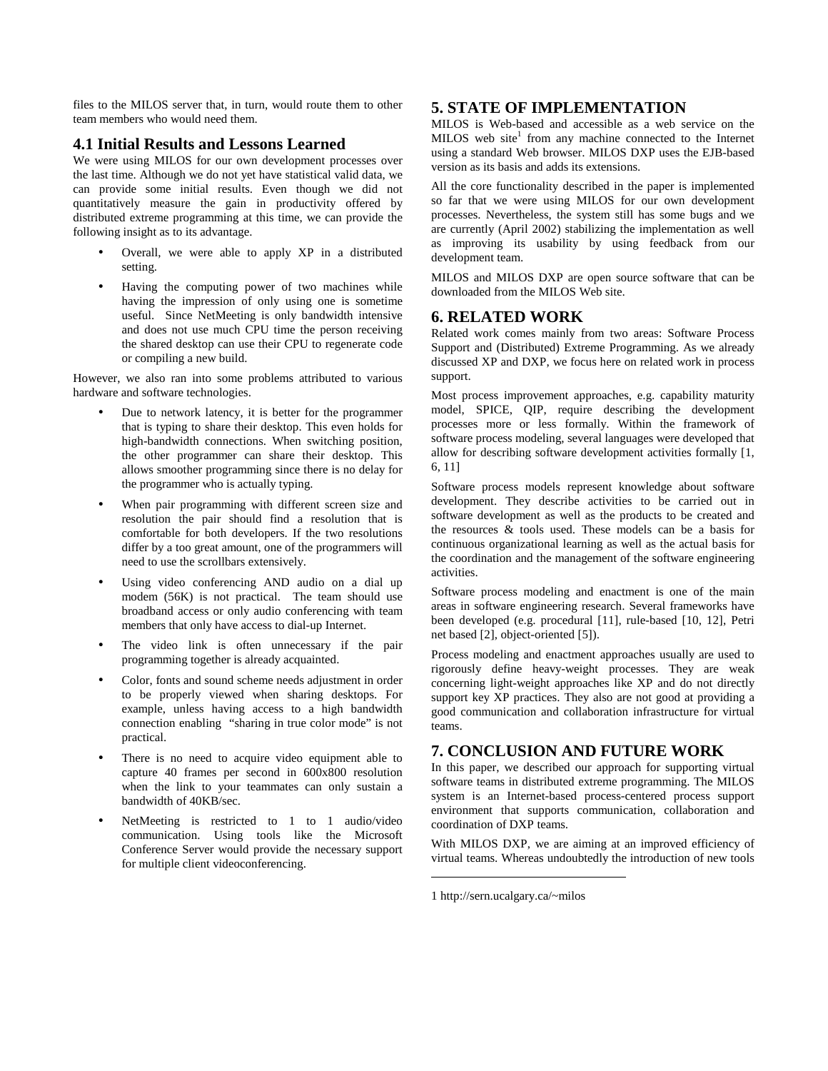files to the MILOS server that, in turn, would route them to other team members who would need them.

### **4.1 Initial Results and Lessons Learned**

We were using MILOS for our own development processes over the last time. Although we do not yet have statistical valid data, we can provide some initial results. Even though we did not quantitatively measure the gain in productivity offered by distributed extreme programming at this time, we can provide the following insight as to its advantage.

- Overall, we were able to apply XP in a distributed setting.
- Having the computing power of two machines while having the impression of only using one is sometime useful. Since NetMeeting is only bandwidth intensive and does not use much CPU time the person receiving the shared desktop can use their CPU to regenerate code or compiling a new build.

However, we also ran into some problems attributed to various hardware and software technologies.

- Due to network latency, it is better for the programmer that is typing to share their desktop. This even holds for high-bandwidth connections. When switching position, the other programmer can share their desktop. This allows smoother programming since there is no delay for the programmer who is actually typing.
- When pair programming with different screen size and resolution the pair should find a resolution that is comfortable for both developers. If the two resolutions differ by a too great amount, one of the programmers will need to use the scrollbars extensively.
- Using video conferencing AND audio on a dial up modem (56K) is not practical. The team should use broadband access or only audio conferencing with team members that only have access to dial-up Internet.
- The video link is often unnecessary if the pair programming together is already acquainted.
- Color, fonts and sound scheme needs adjustment in order to be properly viewed when sharing desktops. For example, unless having access to a high bandwidth connection enabling "sharing in true color mode" is not practical.
- There is no need to acquire video equipment able to capture 40 frames per second in 600x800 resolution when the link to your teammates can only sustain a bandwidth of 40KB/sec.
- NetMeeting is restricted to 1 to 1 audio/video communication. Using tools like the Microsoft Conference Server would provide the necessary support for multiple client videoconferencing.

### **5. STATE OF IMPLEMENTATION**

MILOS is Web-based and accessible as a web service on the MILOS web site<sup>1</sup> from any machine connected to the Internet using a standard Web browser. MILOS DXP uses the EJB-based version as its basis and adds its extensions.

All the core functionality described in the paper is implemented so far that we were using MILOS for our own development processes. Nevertheless, the system still has some bugs and we are currently (April 2002) stabilizing the implementation as well as improving its usability by using feedback from our development team.

MILOS and MILOS DXP are open source software that can be downloaded from the MILOS Web site.

### **6. RELATED WORK**

Related work comes mainly from two areas: Software Process Support and (Distributed) Extreme Programming. As we already discussed XP and DXP, we focus here on related work in process support.

Most process improvement approaches, e.g. capability maturity model, SPICE, QIP, require describing the development processes more or less formally. Within the framework of software process modeling, several languages were developed that allow for describing software development activities formally [1, 6, 11]

Software process models represent knowledge about software development. They describe activities to be carried out in software development as well as the products to be created and the resources  $\&$  tools used. These models can be a basis for continuous organizational learning as well as the actual basis for the coordination and the management of the software engineering activities.

Software process modeling and enactment is one of the main areas in software engineering research. Several frameworks have been developed (e.g. procedural [11], rule-based [10, 12], Petri net based [2], object-oriented [5]).

Process modeling and enactment approaches usually are used to rigorously define heavy-weight processes. They are weak concerning light-weight approaches like XP and do not directly support key XP practices. They also are not good at providing a good communication and collaboration infrastructure for virtual teams.

# **7. CONCLUSION AND FUTURE WORK**

In this paper, we described our approach for supporting virtual software teams in distributed extreme programming. The MILOS system is an Internet-based process-centered process support environment that supports communication, collaboration and coordination of DXP teams.

With MILOS DXP, we are aiming at an improved efficiency of virtual teams. Whereas undoubtedly the introduction of new tools

 $\overline{a}$ 

<sup>1</sup> http://sern.ucalgary.ca/~milos